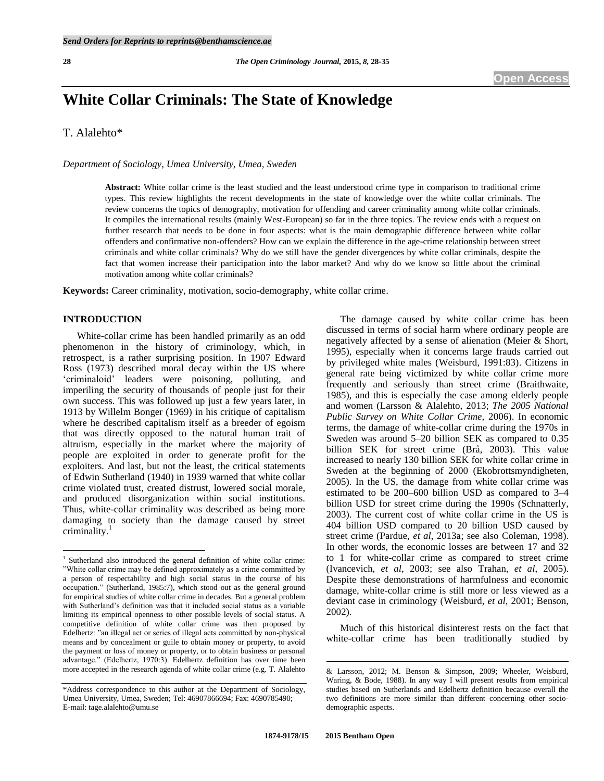# **White Collar Criminals: The State of Knowledge**

T. Alalehto\*

*Department of Sociology, Umea University, Umea, Sweden* 

**Abstract:** White collar crime is the least studied and the least understood crime type in comparison to traditional crime types. This review highlights the recent developments in the state of knowledge over the white collar criminals. The review concerns the topics of demography, motivation for offending and career criminality among white collar criminals. It compiles the international results (mainly West-European) so far in the three topics. The review ends with a request on further research that needs to be done in four aspects: what is the main demographic difference between white collar offenders and confirmative non-offenders? How can we explain the difference in the age-crime relationship between street criminals and white collar criminals? Why do we still have the gender divergences by white collar criminals, despite the fact that women increase their participation into the labor market? And why do we know so little about the criminal motivation among white collar criminals?

**Keywords:** Career criminality, motivation, socio-demography, white collar crime.

# **INTRODUCTION**

 $\overline{a}$ 

White-collar crime has been handled primarily as an odd phenomenon in the history of criminology, which, in retrospect, is a rather surprising position. In 1907 Edward Ross (1973) described moral decay within the US where ‗criminaloid' leaders were poisoning, polluting, and imperiling the security of thousands of people just for their own success. This was followed up just a few years later, in 1913 by Willelm Bonger (1969) in his critique of capitalism where he described capitalism itself as a breeder of egoism that was directly opposed to the natural human trait of altruism, especially in the market where the majority of people are exploited in order to generate profit for the exploiters. And last, but not the least, the critical statements of Edwin Sutherland (1940) in 1939 warned that white collar crime violated trust, created distrust, lowered social morale, and produced disorganization within social institutions. Thus, white-collar criminality was described as being more damaging to society than the damage caused by street criminality.<sup>1</sup>

The damage caused by white collar crime has been discussed in terms of social harm where ordinary people are negatively affected by a sense of alienation (Meier & Short, 1995), especially when it concerns large frauds carried out by privileged white males (Weisburd, 1991:83). Citizens in general rate being victimized by white collar crime more frequently and seriously than street crime (Braithwaite, 1985), and this is especially the case among elderly people and women (Larsson & Alalehto, 2013; *The 2005 National Public Survey on White Collar Crime,* 2006). In economic terms, the damage of white-collar crime during the 1970s in Sweden was around 5–20 billion SEK as compared to 0.35 billion SEK for street crime (Brå, 2003). This value increased to nearly 130 billion SEK for white collar crime in Sweden at the beginning of 2000 (Ekobrottsmyndigheten, 2005). In the US, the damage from white collar crime was estimated to be 200–600 billion USD as compared to 3–4 billion USD for street crime during the 1990s (Schnatterly, 2003). The current cost of white collar crime in the US is 404 billion USD compared to 20 billion USD caused by street crime (Pardue, *et al*, 2013a; see also Coleman, 1998). In other words, the economic losses are between 17 and 32 to 1 for white-collar crime as compared to street crime (Ivancevich, *et al*, 2003; see also Trahan, *et al*, 2005). Despite these demonstrations of harmfulness and economic damage, white-collar crime is still more or less viewed as a deviant case in criminology (Weisburd, *et al*, 2001; Benson, 2002).

Much of this historical disinterest rests on the fact that white-collar crime has been traditionally studied by

1

<sup>&</sup>lt;sup>1</sup> Sutherland also introduced the general definition of white collar crime: ‖White collar crime may be defined approximately as a crime committed by a person of respectability and high social status in the course of his occupation." (Sutherland, 1985:7), which stood out as the general ground for empirical studies of white collar crime in decades. But a general problem with Sutherland's definition was that it included social status as a variable limiting its empirical openness to other possible levels of social status. A competitive definition of white collar crime was then proposed by Edelhertz: "an illegal act or series of illegal acts committed by non-physical means and by concealment or guile to obtain money or property, to avoid the payment or loss of money or property, or to obtain business or personal advantage." (Edelhertz, 1970:3). Edelhertz definition has over time been more accepted in the research agenda of white collar crime (e.g. T. Alalehto

<sup>\*</sup>Address correspondence to this author at the Department of Sociology, Umea University, Umea, Sweden; Tel: 46907866694; Fax: 4690785490; E-mail: tage.alalehto@umu.se

<sup>&</sup>amp; Larsson, 2012; M. Benson & Simpson, 2009; Wheeler, Weisburd, Waring, & Bode, 1988). In any way I will present results from empirical studies based on Sutherlands and Edelhertz definition because overall the two definitions are more similar than different concerning other sociodemographic aspects.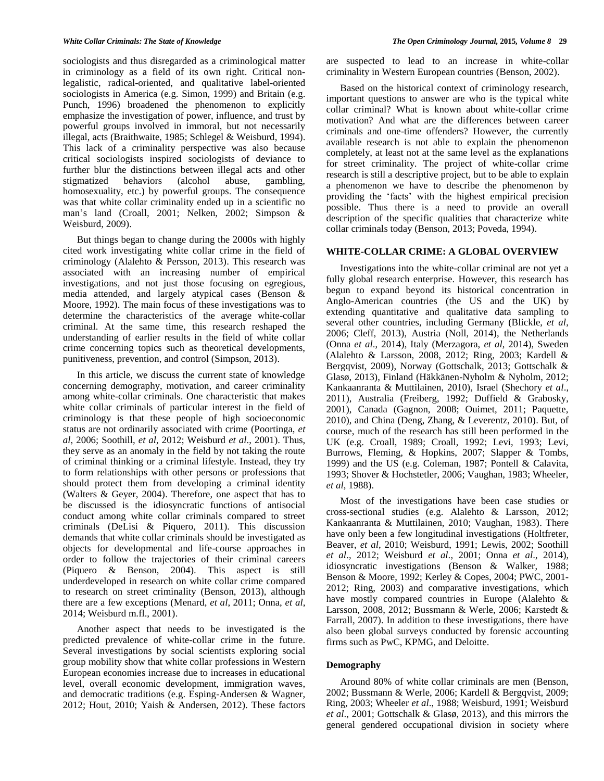sociologists and thus disregarded as a criminological matter in criminology as a field of its own right. Critical nonlegalistic, radical-oriented, and qualitative label-oriented sociologists in America (e.g. Simon, 1999) and Britain (e.g. Punch, 1996) broadened the phenomenon to explicitly emphasize the investigation of power, influence, and trust by powerful groups involved in immoral, but not necessarily illegal, acts (Braithwaite, 1985; Schlegel & Weisburd, 1994). This lack of a criminality perspective was also because critical sociologists inspired sociologists of deviance to further blur the distinctions between illegal acts and other stigmatized behaviors (alcohol abuse, gambling, stigmatized behaviors (alcohol abuse, gambling, homosexuality, etc.) by powerful groups. The consequence was that white collar criminality ended up in a scientific no man's land (Croall, 2001; Nelken, 2002; Simpson & Weisburd, 2009).

But things began to change during the 2000s with highly cited work investigating white collar crime in the field of criminology (Alalehto & Persson, 2013). This research was associated with an increasing number of empirical investigations, and not just those focusing on egregious, media attended, and largely atypical cases (Benson & Moore, 1992). The main focus of these investigations was to determine the characteristics of the average white-collar criminal. At the same time, this research reshaped the understanding of earlier results in the field of white collar crime concerning topics such as theoretical developments, punitiveness, prevention, and control (Simpson, 2013).

In this article, we discuss the current state of knowledge concerning demography, motivation, and career criminality among white-collar criminals. One characteristic that makes white collar criminals of particular interest in the field of criminology is that these people of high socioeconomic status are not ordinarily associated with crime (Poortinga, *et al*, 2006; Soothill, *et al*, 2012; Weisburd *et al*., 2001). Thus, they serve as an anomaly in the field by not taking the route of criminal thinking or a criminal lifestyle. Instead, they try to form relationships with other persons or professions that should protect them from developing a criminal identity (Walters & Geyer, 2004). Therefore, one aspect that has to be discussed is the idiosyncratic functions of antisocial conduct among white collar criminals compared to street criminals (DeLisi & Piquero, 2011). This discussion demands that white collar criminals should be investigated as objects for developmental and life-course approaches in order to follow the trajectories of their criminal careers (Piquero & Benson, 2004). This aspect is still underdeveloped in research on white collar crime compared to research on street criminality (Benson, 2013), although there are a few exceptions (Menard, *et al*, 2011; Onna, *et al*, 2014; Weisburd m.fl., 2001).

Another aspect that needs to be investigated is the predicted prevalence of white-collar crime in the future. Several investigations by social scientists exploring social group mobility show that white collar professions in Western European economies increase due to increases in educational level, overall economic development, immigration waves, and democratic traditions (e.g. Esping-Andersen & Wagner, 2012; Hout, 2010; Yaish & Andersen, 2012). These factors

are suspected to lead to an increase in white-collar criminality in Western European countries (Benson, 2002).

Based on the historical context of criminology research, important questions to answer are who is the typical white collar criminal? What is known about white-collar crime motivation? And what are the differences between career criminals and one-time offenders? However, the currently available research is not able to explain the phenomenon completely, at least not at the same level as the explanations for street criminality. The project of white-collar crime research is still a descriptive project, but to be able to explain a phenomenon we have to describe the phenomenon by providing the ‗facts' with the highest empirical precision possible. Thus there is a need to provide an overall description of the specific qualities that characterize white collar criminals today (Benson, 2013; Poveda, 1994).

## **WHITE-COLLAR CRIME: A GLOBAL OVERVIEW**

Investigations into the white-collar criminal are not yet a fully global research enterprise. However, this research has begun to expand beyond its historical concentration in Anglo-American countries (the US and the UK) by extending quantitative and qualitative data sampling to several other countries, including Germany (Blickle, *et al*, 2006; Cleff, 2013), Austria (Noll, 2014), the Netherlands (Onna *et al*., 2014), Italy (Merzagora, *et al*, 2014), Sweden (Alalehto & Larsson, 2008, 2012; Ring, 2003; Kardell & Bergqvist, 2009), Norway (Gottschalk, 2013; Gottschalk & Glasø, 2013), Finland (Häkkänen-Nyholm & Nyholm, 2012; Kankaanranta & Muttilainen, 2010), Israel (Shechory *et al*., 2011), Australia (Freiberg, 1992; Duffield & Grabosky, 2001), Canada (Gagnon, 2008; Ouimet, 2011; Paquette, 2010), and China (Deng, Zhang, & Leverentz, 2010). But, of course, much of the research has still been performed in the UK (e.g. Croall, 1989; Croall, 1992; Levi, 1993; Levi, Burrows, Fleming, & Hopkins, 2007; Slapper & Tombs, 1999) and the US (e.g. Coleman, 1987; Pontell & Calavita, 1993; Shover & Hochstetler, 2006; Vaughan, 1983; Wheeler, *et al*, 1988).

Most of the investigations have been case studies or cross-sectional studies (e.g. Alalehto & Larsson, 2012; Kankaanranta & Muttilainen, 2010; Vaughan, 1983). There have only been a few longitudinal investigations (Holtfreter, Beaver, *et al*, 2010; Weisburd, 1991; Lewis, 2002; Soothill *et al*., 2012; Weisburd *et al*., 2001; Onna *et al*., 2014), idiosyncratic investigations (Benson & Walker, 1988; Benson & Moore, 1992; Kerley & Copes, 2004; PWC, 2001- 2012; Ring, 2003) and comparative investigations, which have mostly compared countries in Europe (Alalehto & Larsson, 2008, 2012; Bussmann & Werle, 2006; Karstedt & Farrall, 2007). In addition to these investigations, there have also been global surveys conducted by forensic accounting firms such as PwC, KPMG, and Deloitte.

# **Demography**

Around 80% of white collar criminals are men (Benson, 2002; Bussmann & Werle, 2006; Kardell & Bergqvist, 2009; Ring, 2003; Wheeler *et al*., 1988; Weisburd, 1991; Weisburd *et al*., 2001; Gottschalk & Glasø, 2013), and this mirrors the general gendered occupational division in society where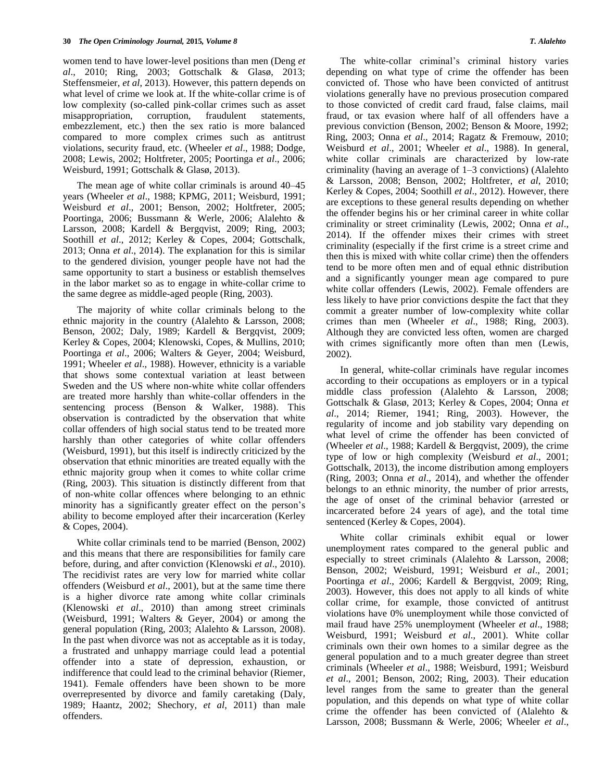women tend to have lower-level positions than men (Deng *et al*., 2010; Ring, 2003; Gottschalk & Glasø, 2013; Steffensmeier, *et al*, 2013). However, this pattern depends on what level of crime we look at. If the white-collar crime is of low complexity (so-called pink-collar crimes such as asset misappropriation, corruption, fraudulent statements, corruption, fraudulent statements, embezzlement, etc.) then the sex ratio is more balanced compared to more complex crimes such as antitrust violations, security fraud, etc. (Wheeler *et al*., 1988; Dodge, 2008; Lewis, 2002; Holtfreter, 2005; Poortinga *et al*., 2006; Weisburd, 1991; Gottschalk & Glasø, 2013).

The mean age of white collar criminals is around 40–45 years (Wheeler *et al*., 1988; KPMG, 2011; Weisburd, 1991; Weisburd *et al*., 2001; Benson, 2002; Holtfreter, 2005; Poortinga, 2006; Bussmann & Werle, 2006; Alalehto & Larsson, 2008; Kardell & Bergqvist, 2009; Ring, 2003; Soothill *et al*., 2012; Kerley & Copes, 2004; Gottschalk, 2013; Onna *et al*., 2014). The explanation for this is similar to the gendered division, younger people have not had the same opportunity to start a business or establish themselves in the labor market so as to engage in white-collar crime to the same degree as middle-aged people (Ring, 2003).

The majority of white collar criminals belong to the ethnic majority in the country (Alalehto & Larsson, 2008; Benson, 2002; Daly, 1989; Kardell & Bergqvist, 2009; Kerley & Copes, 2004; Klenowski, Copes, & Mullins, 2010; Poortinga *et al*., 2006; Walters & Geyer, 2004; Weisburd, 1991; Wheeler *et al*., 1988). However, ethnicity is a variable that shows some contextual variation at least between Sweden and the US where non-white white collar offenders are treated more harshly than white-collar offenders in the sentencing process (Benson & Walker, 1988). This observation is contradicted by the observation that white collar offenders of high social status tend to be treated more harshly than other categories of white collar offenders (Weisburd, 1991), but this itself is indirectly criticized by the observation that ethnic minorities are treated equally with the ethnic majority group when it comes to white collar crime (Ring, 2003). This situation is distinctly different from that of non-white collar offences where belonging to an ethnic minority has a significantly greater effect on the person's ability to become employed after their incarceration (Kerley & Copes, 2004).

White collar criminals tend to be married (Benson, 2002) and this means that there are responsibilities for family care before, during, and after conviction (Klenowski *et al*., 2010). The recidivist rates are very low for married white collar offenders (Weisburd *et al*., 2001), but at the same time there is a higher divorce rate among white collar criminals (Klenowski *et al*., 2010) than among street criminals (Weisburd, 1991; Walters & Geyer, 2004) or among the general population (Ring, 2003; Alalehto & Larsson, 2008). In the past when divorce was not as acceptable as it is today, a frustrated and unhappy marriage could lead a potential offender into a state of depression, exhaustion, or indifference that could lead to the criminal behavior (Riemer, 1941). Female offenders have been shown to be more overrepresented by divorce and family caretaking (Daly, 1989; Haantz, 2002; Shechory, *et al*, 2011) than male offenders.

The white-collar criminal's criminal history varies depending on what type of crime the offender has been convicted of. Those who have been convicted of antitrust violations generally have no previous prosecution compared to those convicted of credit card fraud, false claims, mail fraud, or tax evasion where half of all offenders have a previous conviction (Benson, 2002; Benson & Moore, 1992; Ring, 2003; Onna *et al*., 2014; Ragatz & Fremouw, 2010; Weisburd *et al*., 2001; Wheeler *et al*., 1988). In general, white collar criminals are characterized by low-rate criminality (having an average of 1–3 convictions) (Alalehto & Larsson, 2008; Benson, 2002; Holtfreter, *et al*, 2010; Kerley & Copes, 2004; Soothill *et al*., 2012). However, there are exceptions to these general results depending on whether the offender begins his or her criminal career in white collar criminality or street criminality (Lewis, 2002; Onna *et al*., 2014). If the offender mixes their crimes with street criminality (especially if the first crime is a street crime and then this is mixed with white collar crime) then the offenders tend to be more often men and of equal ethnic distribution and a significantly younger mean age compared to pure white collar offenders (Lewis, 2002). Female offenders are less likely to have prior convictions despite the fact that they commit a greater number of low-complexity white collar crimes than men (Wheeler *et al*., 1988; Ring, 2003). Although they are convicted less often, women are charged with crimes significantly more often than men (Lewis, 2002).

In general, white-collar criminals have regular incomes according to their occupations as employers or in a typical middle class profession (Alalehto & Larsson, 2008; Gottschalk & Glasø, 2013; Kerley & Copes, 2004; Onna *et al*., 2014; Riemer, 1941; Ring, 2003). However, the regularity of income and job stability vary depending on what level of crime the offender has been convicted of (Wheeler *et al*., 1988; Kardell & Bergqvist, 2009), the crime type of low or high complexity (Weisburd *et al*., 2001; Gottschalk, 2013), the income distribution among employers (Ring, 2003; Onna *et al*., 2014), and whether the offender belongs to an ethnic minority, the number of prior arrests, the age of onset of the criminal behavior (arrested or incarcerated before 24 years of age), and the total time sentenced (Kerley & Copes, 2004).

White collar criminals exhibit equal or lower unemployment rates compared to the general public and especially to street criminals (Alalehto & Larsson, 2008; Benson, 2002; Weisburd, 1991; Weisburd *et al*., 2001; Poortinga *et al*., 2006; Kardell & Bergqvist, 2009; Ring, 2003). However, this does not apply to all kinds of white collar crime, for example, those convicted of antitrust violations have 0% unemployment while those convicted of mail fraud have 25% unemployment (Wheeler *et al*., 1988; Weisburd, 1991; Weisburd *et al*., 2001). White collar criminals own their own homes to a similar degree as the general population and to a much greater degree than street criminals (Wheeler *et al*., 1988; Weisburd, 1991; Weisburd *et al*., 2001; Benson, 2002; Ring, 2003). Their education level ranges from the same to greater than the general population, and this depends on what type of white collar crime the offender has been convicted of (Alalehto & Larsson, 2008; Bussmann & Werle, 2006; Wheeler *et al*.,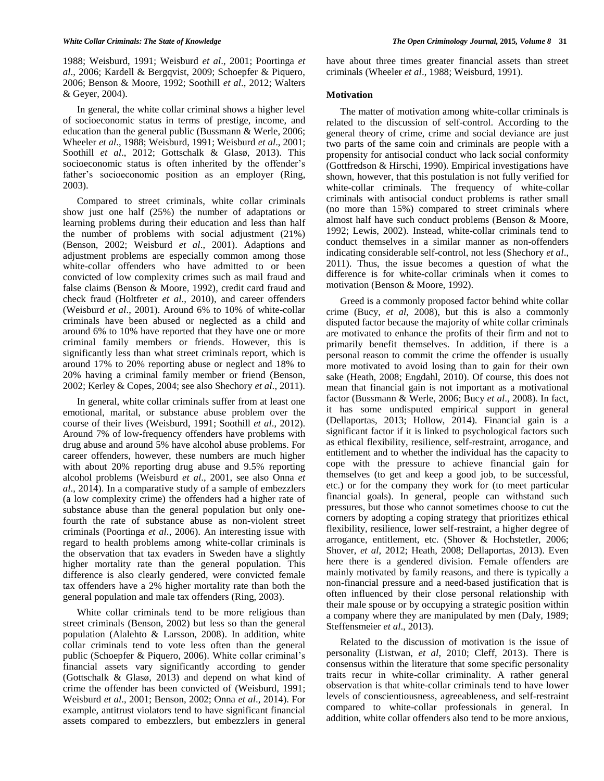1988; Weisburd, 1991; Weisburd *et al*., 2001; Poortinga *et al*., 2006; Kardell & Bergqvist, 2009; Schoepfer & Piquero, 2006; Benson & Moore, 1992; Soothill *et al*., 2012; Walters & Geyer, 2004).

In general, the white collar criminal shows a higher level of socioeconomic status in terms of prestige, income, and education than the general public (Bussmann & Werle, 2006; Wheeler *et al*., 1988; Weisburd, 1991; Weisburd *et al*., 2001; Soothill *et al*., 2012; Gottschalk & Glasø, 2013). This socioeconomic status is often inherited by the offender's father's socioeconomic position as an employer (Ring, 2003).

Compared to street criminals, white collar criminals show just one half (25%) the number of adaptations or learning problems during their education and less than half the number of problems with social adjustment (21%) (Benson, 2002; Weisburd *et al*., 2001). Adaptions and adjustment problems are especially common among those white-collar offenders who have admitted to or been convicted of low complexity crimes such as mail fraud and false claims (Benson & Moore, 1992), credit card fraud and check fraud (Holtfreter *et al*., 2010), and career offenders (Weisburd *et al*., 2001). Around 6% to 10% of white-collar criminals have been abused or neglected as a child and around 6% to 10% have reported that they have one or more criminal family members or friends. However, this is significantly less than what street criminals report, which is around 17% to 20% reporting abuse or neglect and 18% to 20% having a criminal family member or friend (Benson, 2002; Kerley & Copes, 2004; see also Shechory *et al*., 2011).

In general, white collar criminals suffer from at least one emotional, marital, or substance abuse problem over the course of their lives (Weisburd, 1991; Soothill *et al*., 2012). Around 7% of low-frequency offenders have problems with drug abuse and around 5% have alcohol abuse problems. For career offenders, however, these numbers are much higher with about 20% reporting drug abuse and 9.5% reporting alcohol problems (Weisburd *et al*., 2001, see also Onna *et al*., 2014). In a comparative study of a sample of embezzlers (a low complexity crime) the offenders had a higher rate of substance abuse than the general population but only onefourth the rate of substance abuse as non-violent street criminals (Poortinga *et al*., 2006). An interesting issue with regard to health problems among white-collar criminals is the observation that tax evaders in Sweden have a slightly higher mortality rate than the general population. This difference is also clearly gendered, were convicted female tax offenders have a 2% higher mortality rate than both the general population and male tax offenders (Ring, 2003).

White collar criminals tend to be more religious than street criminals (Benson, 2002) but less so than the general population (Alalehto & Larsson, 2008). In addition, white collar criminals tend to vote less often than the general public (Schoepfer & Piquero, 2006). White collar criminal's financial assets vary significantly according to gender (Gottschalk & Glasø, 2013) and depend on what kind of crime the offender has been convicted of (Weisburd, 1991; Weisburd *et al*., 2001; Benson, 2002; Onna *et al*., 2014). For example, antitrust violators tend to have significant financial assets compared to embezzlers, but embezzlers in general

have about three times greater financial assets than street criminals (Wheeler *et al*., 1988; Weisburd, 1991).

# **Motivation**

The matter of motivation among white-collar criminals is related to the discussion of self-control. According to the general theory of crime, crime and social deviance are just two parts of the same coin and criminals are people with a propensity for antisocial conduct who lack social conformity (Gottfredson & Hirschi, 1990). Empirical investigations have shown, however, that this postulation is not fully verified for white-collar criminals. The frequency of white-collar criminals with antisocial conduct problems is rather small (no more than 15%) compared to street criminals where almost half have such conduct problems (Benson & Moore, 1992; Lewis, 2002). Instead, white-collar criminals tend to conduct themselves in a similar manner as non-offenders indicating considerable self-control, not less (Shechory *et al*., 2011). Thus, the issue becomes a question of what the difference is for white-collar criminals when it comes to motivation (Benson & Moore, 1992).

Greed is a commonly proposed factor behind white collar crime (Bucy, *et al*, 2008), but this is also a commonly disputed factor because the majority of white collar criminals are motivated to enhance the profits of their firm and not to primarily benefit themselves. In addition, if there is a personal reason to commit the crime the offender is usually more motivated to avoid losing than to gain for their own sake (Heath, 2008; Engdahl, 2010). Of course, this does not mean that financial gain is not important as a motivational factor (Bussmann & Werle, 2006; Bucy *et al*., 2008). In fact, it has some undisputed empirical support in general (Dellaportas, 2013; Hollow, 2014). Financial gain is a significant factor if it is linked to psychological factors such as ethical flexibility, resilience, self-restraint, arrogance, and entitlement and to whether the individual has the capacity to cope with the pressure to achieve financial gain for themselves (to get and keep a good job, to be successful, etc.) or for the company they work for (to meet particular financial goals). In general, people can withstand such pressures, but those who cannot sometimes choose to cut the corners by adopting a coping strategy that prioritizes ethical flexibility, resilience, lower self-restraint, a higher degree of arrogance, entitlement, etc. (Shover & Hochstetler, 2006; Shover, *et al*, 2012; Heath, 2008; Dellaportas, 2013). Even here there is a gendered division. Female offenders are mainly motivated by family reasons, and there is typically a non-financial pressure and a need-based justification that is often influenced by their close personal relationship with their male spouse or by occupying a strategic position within a company where they are manipulated by men (Daly, 1989; Steffensmeier *et al*., 2013).

Related to the discussion of motivation is the issue of personality (Listwan, *et al*, 2010; Cleff, 2013). There is consensus within the literature that some specific personality traits recur in white-collar criminality. A rather general observation is that white-collar criminals tend to have lower levels of conscientiousness, agreeableness, and self-restraint compared to white-collar professionals in general. In addition, white collar offenders also tend to be more anxious,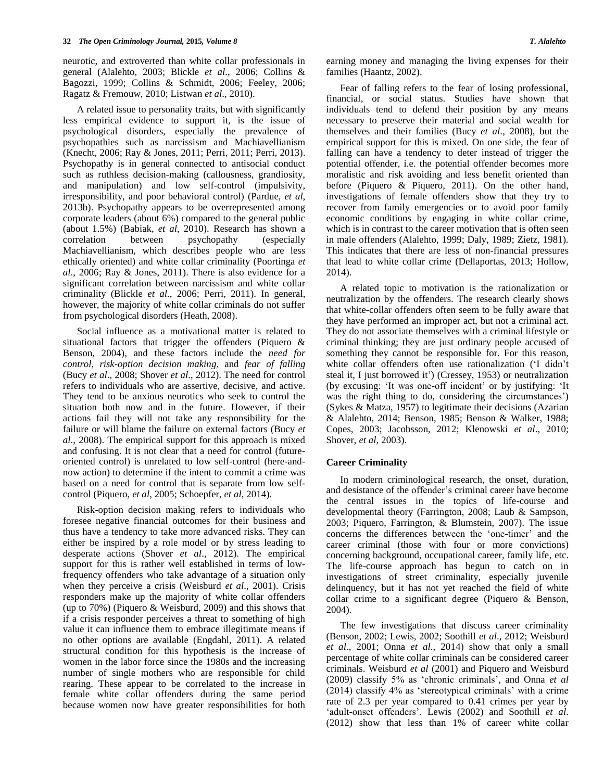neurotic, and extroverted than white collar professionals in general (Alalehto, 2003; Blickle *et al*., 2006; Collins & Bagozzi, 1999; Collins & Schmidt, 2006; Feeley, 2006; Ragatz & Fremouw, 2010; Listwan *et al*., 2010).

A related issue to personality traits, but with significantly less empirical evidence to support it, is the issue of psychological disorders, especially the prevalence of psychopathies such as narcissism and Machiavellianism (Knecht, 2006; Ray & Jones, 2011; Perri, 2011; Perri, 2013). Psychopathy is in general connected to antisocial conduct such as ruthless decision-making (callousness, grandiosity, and manipulation) and low self-control (impulsivity, irresponsibility, and poor behavioral control) (Pardue, *et al*, 2013b). Psychopathy appears to be overrepresented among corporate leaders (about 6%) compared to the general public (about 1.5%) (Babiak, *et al*, 2010). Research has shown a correlation between psychopathy (especially Machiavellianism, which describes people who are less ethically oriented) and white collar criminality (Poortinga *et al*., 2006; Ray & Jones, 2011). There is also evidence for a significant correlation between narcissism and white collar criminality (Blickle *et al*., 2006; Perri, 2011). In general, however, the majority of white collar criminals do not suffer from psychological disorders (Heath, 2008).

Social influence as a motivational matter is related to situational factors that trigger the offenders (Piquero & Benson, 2004), and these factors include the *need for control*, *risk-option decision making*, and *fear of falling* (Bucy *et al*., 2008; Shover *et al*., 2012). The need for control refers to individuals who are assertive, decisive, and active. They tend to be anxious neurotics who seek to control the situation both now and in the future. However, if their actions fail they will not take any responsibility for the failure or will blame the failure on external factors (Bucy *et al*., 2008). The empirical support for this approach is mixed and confusing. It is not clear that a need for control (futureoriented control) is unrelated to low self-control (here-andnow action) to determine if the intent to commit a crime was based on a need for control that is separate from low selfcontrol (Piquero, *et al*, 2005; Schoepfer, *et al*, 2014).

Risk-option decision making refers to individuals who foresee negative financial outcomes for their business and thus have a tendency to take more advanced risks. They can either be inspired by a role model or by stress leading to desperate actions (Shover *et al*., 2012). The empirical support for this is rather well established in terms of lowfrequency offenders who take advantage of a situation only when they perceive a crisis (Weisburd *et al*., 2001). Crisis responders make up the majority of white collar offenders (up to 70%) (Piquero & Weisburd, 2009) and this shows that if a crisis responder perceives a threat to something of high value it can influence them to embrace illegitimate means if no other options are available (Engdahl, 2011). A related structural condition for this hypothesis is the increase of women in the labor force since the 1980s and the increasing number of single mothers who are responsible for child rearing. These appear to be correlated to the increase in female white collar offenders during the same period because women now have greater responsibilities for both

earning money and managing the living expenses for their families (Haantz, 2002).

Fear of falling refers to the fear of losing professional, financial, or social status. Studies have shown that individuals tend to defend their position by any means necessary to preserve their material and social wealth for themselves and their families (Bucy *et al*., 2008), but the empirical support for this is mixed. On one side, the fear of falling can have a tendency to deter instead of trigger the potential offender, i.e. the potential offender becomes more moralistic and risk avoiding and less benefit oriented than before (Piquero & Piquero, 2011). On the other hand, investigations of female offenders show that they try to recover from family emergencies or to avoid poor family economic conditions by engaging in white collar crime, which is in contrast to the career motivation that is often seen in male offenders (Alalehto, 1999; Daly, 1989; Zietz, 1981). This indicates that there are less of non-financial pressures that lead to white collar crime (Dellaportas, 2013; Hollow, 2014).

A related topic to motivation is the rationalization or neutralization by the offenders. The research clearly shows that white-collar offenders often seem to be fully aware that they have performed an improper act, but not a criminal act. They do not associate themselves with a criminal lifestyle or criminal thinking; they are just ordinary people accused of something they cannot be responsible for. For this reason, white collar offenders often use rationalization ('I didn't steal it, I just borrowed it') (Cressey, 1953) or neutralization (by excusing: ‗It was one-off incident' or by justifying: ‗It was the right thing to do, considering the circumstances') (Sykes & Matza, 1957) to legitimate their decisions (Azarian & Alalehto, 2014; Benson, 1985; Benson & Walker, 1988; Copes, 2003; Jacobsson, 2012; Klenowski *et al*., 2010; Shover, *et al*, 2003).

# **Career Criminality**

In modern criminological research, the onset, duration, and desistance of the offender's criminal career have become the central issues in the topics of life-course and developmental theory (Farrington, 2008; Laub & Sampson, 2003; Piquero, Farrington, & Blumstein, 2007). The issue concerns the differences between the 'one-timer' and the career criminal (those with four or more convictions) concerning background, occupational career, family life, etc. The life-course approach has begun to catch on in investigations of street criminality, especially juvenile delinquency, but it has not yet reached the field of white collar crime to a significant degree (Piquero & Benson, 2004).

The few investigations that discuss career criminality (Benson, 2002; Lewis, 2002; Soothill *et al*., 2012; Weisburd *et al*., 2001; Onna *et al*., 2014) show that only a small percentage of white collar criminals can be considered career criminals. Weisburd *et al* (2001) and Piquero and Weisburd (2009) classify 5% as ‗chronic criminals', and Onna *et al*  $(2014)$  classify 4% as 'stereotypical criminals' with a crime rate of 2.3 per year compared to 0.41 crimes per year by 'adult-onset offenders'. Lewis (2002) and Soothill *et al.* (2012) show that less than 1% of career white collar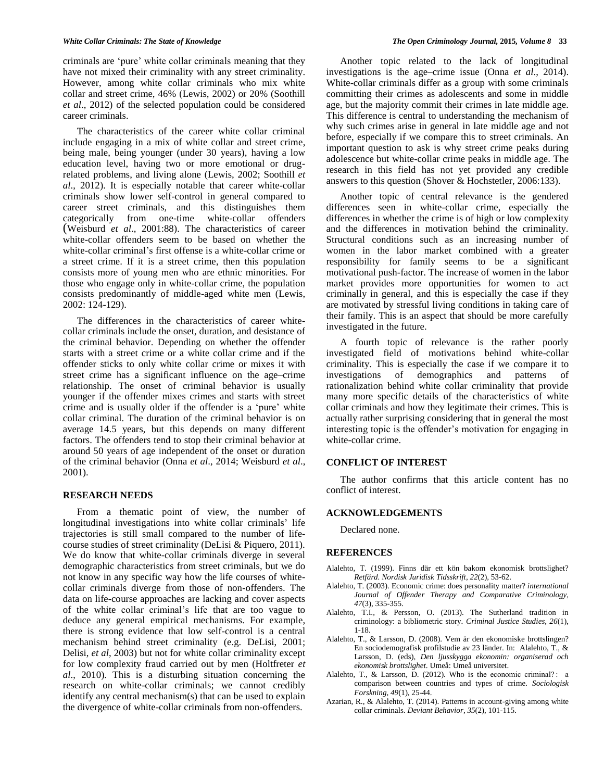criminals are 'pure' white collar criminals meaning that they have not mixed their criminality with any street criminality. However, among white collar criminals who mix white collar and street crime, 46% (Lewis, 2002) or 20% (Soothill *et al*., 2012) of the selected population could be considered career criminals.

The characteristics of the career white collar criminal include engaging in a mix of white collar and street crime, being male, being younger (under 30 years), having a low education level, having two or more emotional or drugrelated problems, and living alone (Lewis, 2002; Soothill *et al*., 2012). It is especially notable that career white-collar criminals show lower self-control in general compared to career street criminals, and this distinguishes them categorically from one-time white-collar offenders (Weisburd *et al*., 2001:88). The characteristics of career white-collar offenders seem to be based on whether the white-collar criminal's first offense is a white-collar crime or a street crime. If it is a street crime, then this population consists more of young men who are ethnic minorities. For those who engage only in white-collar crime, the population consists predominantly of middle-aged white men (Lewis, 2002: 124-129).

The differences in the characteristics of career whitecollar criminals include the onset, duration, and desistance of the criminal behavior. Depending on whether the offender starts with a street crime or a white collar crime and if the offender sticks to only white collar crime or mixes it with street crime has a significant influence on the age–crime relationship. The onset of criminal behavior is usually younger if the offender mixes crimes and starts with street crime and is usually older if the offender is a 'pure' white collar criminal. The duration of the criminal behavior is on average 14.5 years, but this depends on many different factors. The offenders tend to stop their criminal behavior at around 50 years of age independent of the onset or duration of the criminal behavior (Onna *et al*., 2014; Weisburd *et al*., 2001).

# **RESEARCH NEEDS**

From a thematic point of view, the number of longitudinal investigations into white collar criminals' life trajectories is still small compared to the number of lifecourse studies of street criminality (DeLisi & Piquero, 2011). We do know that white-collar criminals diverge in several demographic characteristics from street criminals, but we do not know in any specific way how the life courses of whitecollar criminals diverge from those of non-offenders. The data on life-course approaches are lacking and cover aspects of the white collar criminal's life that are too vague to deduce any general empirical mechanisms. For example, there is strong evidence that low self-control is a central mechanism behind street criminality (e.g. DeLisi, 2001; Delisi, *et al*, 2003) but not for white collar criminality except for low complexity fraud carried out by men (Holtfreter *et al*., 2010). This is a disturbing situation concerning the research on white-collar criminals; we cannot credibly identify any central mechanism(s) that can be used to explain the divergence of white-collar criminals from non-offenders.

Another topic related to the lack of longitudinal investigations is the age–crime issue (Onna *et al*., 2014). White-collar criminals differ as a group with some criminals committing their crimes as adolescents and some in middle age, but the majority commit their crimes in late middle age. This difference is central to understanding the mechanism of why such crimes arise in general in late middle age and not before, especially if we compare this to street criminals. An important question to ask is why street crime peaks during adolescence but white-collar crime peaks in middle age. The research in this field has not yet provided any credible answers to this question (Shover & Hochstetler, 2006:133).

Another topic of central relevance is the gendered differences seen in white-collar crime, especially the differences in whether the crime is of high or low complexity and the differences in motivation behind the criminality. Structural conditions such as an increasing number of women in the labor market combined with a greater responsibility for family seems to be a significant motivational push-factor. The increase of women in the labor market provides more opportunities for women to act criminally in general, and this is especially the case if they are motivated by stressful living conditions in taking care of their family. This is an aspect that should be more carefully investigated in the future.

A fourth topic of relevance is the rather poorly investigated field of motivations behind white-collar criminality. This is especially the case if we compare it to investigations of demographics and patterns of rationalization behind white collar criminality that provide many more specific details of the characteristics of white collar criminals and how they legitimate their crimes. This is actually rather surprising considering that in general the most interesting topic is the offender's motivation for engaging in white-collar crime.

### **CONFLICT OF INTEREST**

The author confirms that this article content has no conflict of interest.

# **ACKNOWLEDGEMENTS**

Declared none.

## **REFERENCES**

- Alalehto, T. (1999). Finns där ett kön bakom ekonomisk brottslighet? *Retfärd. Nordisk Juridisk Tidsskrift*, *22*(2), 53-62.
- Alalehto, T. (2003). Economic crime: does personality matter? *international Journal of Offender Therapy and Comparative Criminology*, *47*(3), 335-355.
- Alalehto, T.I., & Persson, O. (2013). The Sutherland tradition in criminology: a bibliometric story. *Criminal Justice Studies*, *26*(1), 1-18.
- Alalehto, T., & Larsson, D. (2008). Vem är den ekonomiske brottslingen? En sociodemografisk profilstudie av 23 länder. In: Alalehto, T., & Larsson, D. (eds), *Den ljusskygga ekonomin: organiserad och ekonomisk brottslighet*. Umeå: Umeå universitet.
- Alalehto, T., & Larsson, D. (2012). Who is the economic criminal? : a comparison between countries and types of crime. *Sociologisk Forskning*, *49*(1), 25-44.
- Azarian, R., & Alalehto, T. (2014). Patterns in account-giving among white collar criminals. *Deviant Behavior*, *35*(2), 101-115.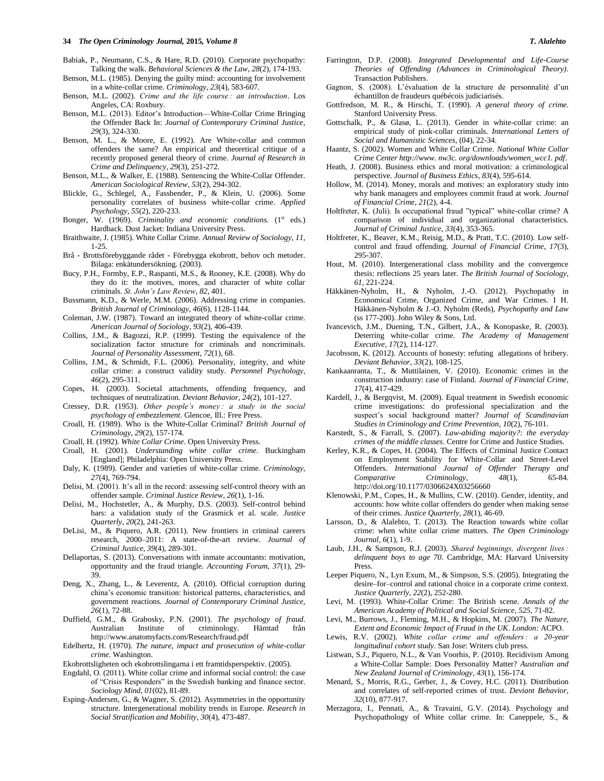### **34** *The Open Criminology Journal,* **2015***, Volume 8 T. Alalehto*

- Babiak, P., Neumann, C.S., & Hare, R.D. (2010). Corporate psychopathy: Talking the walk. *Behavioral Sciences & the Law*, *28*(2), 174-193.
- Benson, M.L. (1985). Denying the guilty mind: accounting for involvement in a white‐collar crime. *Criminology*, *23*(4), 583-607.
- Benson, M.L. (2002). *Crime and the life course : an introduction*. Los Angeles, CA: Roxbury.
- Benson, M.L. (2013). Editor's Introduction—White-Collar Crime Bringing the Offender Back In: *Journal of Contemporary Criminal Justice*, *29*(3), 324-330.
- Benson, M. L., & Moore, E. (1992). Are White-collar and common offenders the same? An empirical and theoretical critique of a recently proposed general theory of crime. *Journal of Research in Crime and Delinquency*, *29*(3), 251-272.
- Benson, M.L., & Walker, E. (1988). Sentencing the White-Collar Offender. *American Sociological Review*, *53*(2), 294-302.
- Blickle, G., Schlegel, A., Fassbender, P., & Klein, U. (2006). Some personality correlates of business white-collar crime. *Applied Psychology*, *55*(2), 220-233.
- Bonger, W. (1969). *Criminality and economic conditions*. (1<sup>st</sup> eds.) Hardback. Dust Jacket: Indiana University Press.
- Braithwaite, J. (1985). White Collar Crime. *Annual Review of Sociology*, *11*, 1-25.
- Brå Brottsförebyggande rådet Förebygga ekobrott, behov och metoder. Bilaga: enkätundersökning. (2003).
- Bucy, P.H., Formby, E.P., Raspanti, M.S., & Rooney, K.E. (2008). Why do they do it: the motives, mores, and character of white collar criminals. *St. John's Law Review*, *82*, 401.
- Bussmann, K.D., & Werle, M.M. (2006). Addressing crime in companies. *British Journal of Criminology*, *46*(6), 1128-1144.
- Coleman, J.W. (1987). Toward an integrated theory of white-collar crime. *American Journal of Sociology*, *93*(2), 406-439.
- Collins, J.M., & Bagozzi, R.P. (1999). Testing the equivalence of the socialization factor structure for criminals and noncriminals. *Journal of Personality Assessment*, *72*(1), 68.
- Collins, J.M., & Schmidt, F.L. (2006). Personality, integrity, and white collar crime: a construct validity study. *Personnel Psychology*, *46*(2), 295-311.
- Copes, H. (2003). Societal attachments, offending frequency, and techniques of neutralization. *Deviant Behavior*, *24*(2), 101-127.
- Cressey, D.R. (1953). *Other people's money : a study in the social psychology of embezzlement*. Glencoe, Ill.: Free Press.
- Croall, H. (1989). Who is the White-Collar Criminal? *British Journal of Criminology*, *29*(2), 157-174.
- Croall, H. (1992). *White Collar Crime*. Open University Press.
- Croall, H. (2001). *Understanding white collar crime*. Buckingham [England]; Philadelphia: Open University Press.
- Daly, K. (1989). Gender and varieties of white-collar crime. *Criminology*, *27*(4), 769-794.
- Delisi, M. (2001). It's all in the record: assessing self-control theory with an offender sample. *Criminal Justice Review*, *26*(1), 1-16.
- Delisi, M., Hochstetler, A., & Murphy, D.S. (2003). Self-control behind bars: a validation study of the Grasmick et al. scale. *Justice Quarterly*, *20*(2), 241-263.
- DeLisi, M., & Piquero, A.R. (2011). New frontiers in criminal careers research, 2000–2011: A state-of-the-art review. *Journal of Criminal Justice*, *39*(4), 289-301.
- Dellaportas, S. (2013). Conversations with inmate accountants: motivation, opportunity and the fraud triangle. *Accounting Forum*, *37*(1), 29- 39.
- Deng, X., Zhang, L., & Leverentz, A. (2010). Official corruption during china's economic transition: historical patterns, characteristics, and government reactions. *Journal of Contemporary Criminal Justice*, *26*(1), 72-88.
- Duffield, G.M., & Grabosky, P.N. (2001). *The psychology of fraud*. Australian Institute of criminology. Hämtad från http://www.anatomyfacts.com/Research/fraud.pdf
- Edelhertz, H. (1970). *The nature, impact and prosecution of white-collar crime.* Washington.
- Ekobrottsligheten och ekobrottslingarna i ett framtidsperspektiv. (2005).
- Engdahl, O. (2011). White collar crime and informal social control: the case of "Crisis Responders" in the Swedish banking and finance sector. *Sociology Mind*, *01*(02), 81-89.
- Esping-Andersen, G., & Wagner, S. (2012). Asymmetries in the opportunity structure. Intergenerational mobility trends in Europe. *Research in Social Stratification and Mobility*, *30*(4), 473-487.
- Farrington, D.P. (2008). *Integrated Developmental and Life-Course Theories of Offending (Advances in Criminological Theory)*. Transaction Publishers.
- Gagnon, S. (2008). L'évaluation de la structure de personnalité d'un échantillon de fraudeurs québécois judiciarisés.
- Gottfredson, M. R., & Hirschi, T. (1990). *A general theory of crime*. Stanford University Press.
- Gottschalk, P., & Glasø, L. (2013). Gender in white-collar crime: an empirical study of pink-collar criminals. *International Letters of Social and Humanistic Sciences*, (04), 22-34.
- Haantz, S. (2002). Women and White Collar Crime. *National White Collar Crime Center http://www. nw3c. org/downloads/women\_wcc1. pdf*.
- Heath, J. (2008). Business ethics and moral motivation: a criminological perspective. *Journal of Business Ethics*, *83*(4), 595-614.
- Hollow, M. (2014). Money, morals and motives: an exploratory study into why bank managers and employees commit fraud at work. *Journal of Financial Crime*, *21*(2), 4-4.
- Holtfreter, K. (Juli). Is occupational fraud "typical" white-collar crime? A comparison of individual and organizational characteristics. *Journal of Criminal Justice*, *33*(4), 353-365.
- Holtfreter, K., Beaver, K.M., Reisig, M.D., & Pratt, T.C. (2010). Low selfcontrol and fraud offending. *Journal of Financial Crime*, *17*(3), 295-307.
- Hout, M. (2010). Intergenerational class mobility and the convergence thesis: reflections 25 years later. *The British Journal of Sociology*, *61*, 221-224.
- Häkkänen-Nyholm, H., & Nyholm, J.-O. (2012). Psychopathy in Economical Crime, Organized Crime, and War Crimes. I H. Häkkänen-Nyholm & J.-O. Nyholm (Reds), *Psychopathy and Law* (ss 177-200). John Wiley & Sons, Ltd.
- Ivancevich, J.M., Duening, T.N., Gilbert, J.A., & Konopaske, R. (2003). Deterring white-collar crime. *The Academy of Management Executive*, *17*(2), 114-127.
- Jacobsson, K. (2012). Accounts of honesty: refuting allegations of bribery. *Deviant Behavior*, *33*(2), 108-125.
- Kankaanranta, T., & Muttilainen, V. (2010). Economic crimes in the construction industry: case of Finland. *Journal of Financial Crime*, *17*(4), 417-429.
- Kardell, J., & Bergqvist, M. (2009). Equal treatment in Swedish economic crime investigations: do professional specialization and the suspect's social background matter? *Journal of Scandinavian Studies in Criminology and Crime Prevention*, *10*(2), 76-101.
- Karstedt, S., & Farrall, S. (2007). *Law-abiding majority?: the everyday crimes of the middle classes*. Centre for Crime and Justice Studies.
- Kerley, K.R., & Copes, H. (2004). The Effects of Criminal Justice Contact on Employment Stability for White-Collar and Street-Level Offenders. *International Journal of Offender Therapy and Comparative Criminology*, *48*(1), 65-84. http://doi.org/10.1177/0306624X03256660
- Klenowski, P.M., Copes, H., & Mullins, C.W. (2010). Gender, identity, and accounts: how white collar offenders do gender when making sense of their crimes. *Justice Quarterly*, *28*(1), 46-69.
- Larsson, D., & Alalehto, T. (2013). The Reaction towards white collar crime: when white collar crime matters. *The Open Criminology Journal*, *6*(1), 1-9.
- Laub, J.H., & Sampson, R.J. (2003). *Shared beginnings, divergent lives : delinquent boys to age 70*. Cambridge, MA: Harvard University Press.
- Leeper Piquero, N., Lyn Exum, M., & Simpson, S.S. (2005). Integrating the desire–for–control and rational choice in a corporate crime context. *Justice Quarterly*, *22*(2), 252-280.
- Levi, M. (1993). White-Collar Crime: The British scene. *Annals of the American Academy of Political and Social Science*, *525*, 71-82.
- Levi, M., Burrows, J., Fleming, M.H., & Hopkins, M. (2007). *The Nature, Extent and Economic Impact of Fraud in the UK*. *London:* ACPO.
- Lewis, R.V. (2002). *White collar crime and offenders : a 20-year longitudinal cohort study*. San Jose: Writers club press.
- Listwan, S.J., Piquero, N.L., & Van Voorhis, P. (2010). Recidivism Among a White-Collar Sample: Does Personality Matter? *Australian and New Zealand Journal of Criminology*, *43*(1), 156-174.
- Menard, S., Morris, R.G., Gerber, J., & Covey, H.C. (2011). Distribution and correlates of self-reported crimes of trust. *Deviant Behavior*, *32*(10), 877-917.
- Merzagora, I., Pennati, A., & Travaini, G.V. (2014). Psychology and Psychopathology of White collar crime. In: Caneppele, S., &